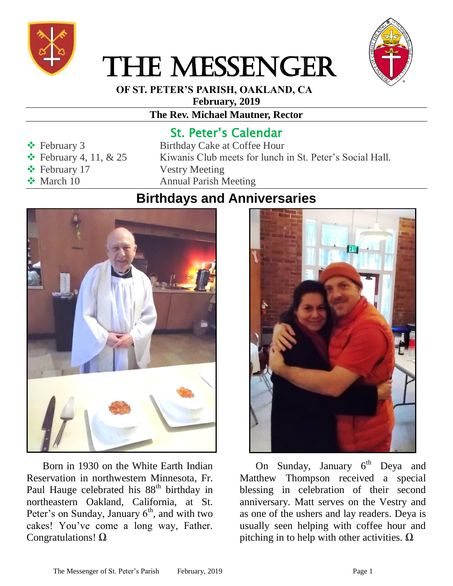

# THE MESSENGER



 **OF ST. PETER'S PARISH, OAKLAND, CA**

**February, 2019**

#### **The Rev. Michael Mautner, Rector**

#### St. Peter's Calendar

- 
- 
- **Exercise** February 17 Vestry Meeting
- 

## ◆ February 3 Birthday Cake at Coffee Hour  $\div$  February 4, 11, & 25 Kiwanis Club meets for lunch in St. Peter's Social Hall. ◆ March 10 Annual Parish Meeting

### **Birthdays and Anniversaries**



Born in 1930 on the White Earth Indian Reservation in northwestern Minnesota, Fr. Paul Hauge celebrated his 88<sup>th</sup> birthday in northeastern Oakland, California, at St. Peter's on Sunday, January  $6<sup>th</sup>$ , and with two cakes! You've come a long way, Father. Congratulations! **Ω**



On Sunday, January 6<sup>th</sup> Deya and Matthew Thompson received a special blessing in celebration of their second anniversary. Matt serves on the Vestry and as one of the ushers and lay readers. Deya is usually seen helping with coffee hour and pitching in to help with other activities. **Ω**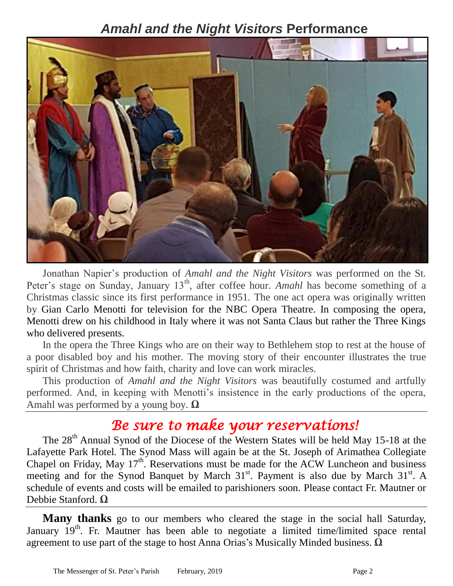#### *Amahl and the Night Visitors* **Performance**



Jonathan Napier's production of *Amahl and the Night Visitors* was performed on the St. Peter's stage on Sunday, January 13<sup>th</sup>, after coffee hour. *Amahl* has become something of a Christmas classic since its first performance in 1951. The one act opera was originally written by Gian Carlo Menotti for television for the NBC Opera Theatre. In composing the opera, Menotti drew on his childhood in Italy where it was not Santa Claus but rather the Three Kings who delivered presents.

In the opera the Three Kings who are on their way to Bethlehem stop to rest at the house of a poor disabled boy and his mother. The moving story of their encounter illustrates the true spirit of Christmas and how faith, charity and love can work miracles.

This production of *Amahl and the Night Visitors* was beautifully costumed and artfully performed. And, in keeping with Menotti's insistence in the early productions of the opera, Amahl was performed by a young boy. **Ω**

## *Be sure to make your reservations!*

The 28<sup>th</sup> Annual Synod of the Diocese of the Western States will be held May 15-18 at the Lafayette Park Hotel. The Synod Mass will again be at the St. Joseph of Arimathea Collegiate Chapel on Friday, May  $17<sup>th</sup>$ . Reservations must be made for the ACW Luncheon and business meeting and for the Synod Banquet by March 31<sup>st</sup>. Payment is also due by March 31<sup>st</sup>. A schedule of events and costs will be emailed to parishioners soon. Please contact Fr. Mautner or Debbie Stanford. **Ω**

**Many thanks** go to our members who cleared the stage in the social hall Saturday, January 19<sup>th</sup>. Fr. Mautner has been able to negotiate a limited time/limited space rental agreement to use part of the stage to host Anna Orias's Musically Minded business. **Ω**